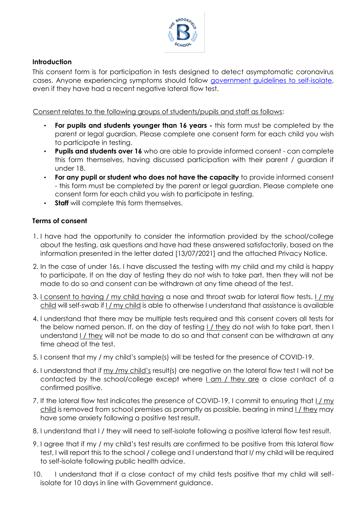

## **Introduction**

This consent form is for participation in tests designed to detect asymptomatic coronavirus cases. Anyone experiencing symptoms should follow [government guidelines to self-isolate,](https://www.gov.uk/government/publications/covid-19-stay-at-home-guidance/stay-at-home-guidance-for-households-with-possible-coronavirus-covid-19-infection) even if they have had a recent negative lateral flow test.

Consent relates to the following groups of students/pupils and staff as follows:

- **For pupils and students younger than 16 years -** this form must be completed by the parent or legal guardian. Please complete one consent form for each child you wish to participate in testing.
- **Pupils and students over 16** who are able to provide informed consent can complete this form themselves, having discussed participation with their parent / guardian if under 18.
- **For any pupil or student who does not have the capacity** to provide informed consent - this form must be completed by the parent or legal guardian. Please complete one consent form for each child you wish to participate in testing.
- **Staff** will complete this form themselves.

## **Terms of consent**

- 1. I have had the opportunity to consider the information provided by the school/college about the testing, ask questions and have had these answered satisfactorily, based on the information presented in the letter dated [13/07/2021] and the attached Privacy Notice.
- 2. In the case of under 16s, I have discussed the testing with my child and my child is happy to participate. If on the day of testing they do not wish to take part, then they will not be made to do so and consent can be withdrawn at any time ahead of the test.
- 3. I consent to having / my child having a nose and throat swab for lateral flow tests. I / my child will self-swab if I / my child is able to otherwise I understand that assistance is available
- 4. I understand that there may be multiple tests required and this consent covers all tests for the below named person. If, on the day of testing I / they do not wish to take part, then I understand I / they will not be made to do so and that consent can be withdrawn at any time ahead of the test.
- 5. I consent that my / my child's sample(s) will be tested for the presence of COVID-19.
- 6. I understand that if my /my child's result(s) are negative on the lateral flow test I will not be contacted by the school/college except where I am / they are a close contact of a confirmed positive.
- 7. If the lateral flow test indicates the presence of COVID-19, I commit to ensuring that I / my child is removed from school premises as promptly as possible, bearing in mind I / they may have some anxiety following a positive test result.
- 8. I understand that I / they will need to self-isolate following a positive lateral flow test result.
- 9. I agree that if my / my child's test results are confirmed to be positive from this lateral flow test, I will report this to the school / college and I understand that I/ my child will be required to self-isolate following public health advice.
- 10. I understand that if a close contact of my child tests positive that my child will selfisolate for 10 days in line with Government guidance.